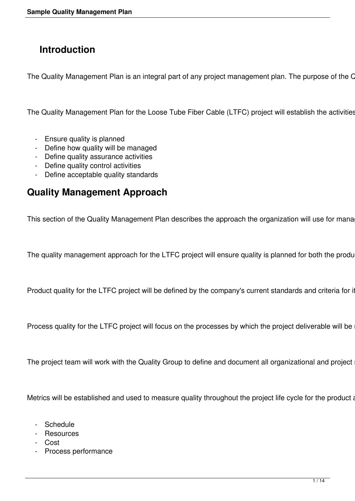# **Introduction**

The Quality Management Plan is an integral part of any project management plan. The purpose of the C

The Quality Management Plan for the Loose Tube Fiber Cable (LTFC) project will establish the activities

- Ensure quality is planned
- Define how quality will be managed
- Define quality assurance activities
- Define quality control activities
- Define acceptable quality standards

### **Quality Management Approach**

This section of the Quality Management Plan describes the approach the organization will use for mana

The quality management approach for the LTFC project will ensure quality is planned for both the produ

Product quality for the LTFC project will be defined by the company's current standards and criteria for it

Process quality for the LTFC project will focus on the processes by which the project deliverable will be

The project team will work with the Quality Group to define and document all organizational and project

Metrics will be established and used to measure quality throughout the project life cycle for the product a

- Schedule
- Resources
- Cost
- Process performance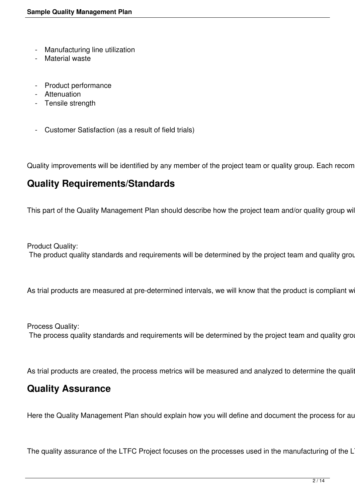- Manufacturing line utilization
- Material waste
- Product performance
- Attenuation
- Tensile strength
- Customer Satisfaction (as a result of field trials)

Quality improvements will be identified by any member of the project team or quality group. Each recom

### **Quality Requirements/Standards**

This part of the Quality Management Plan should describe how the project team and/or quality group wil

Product Quality: The product quality standards and requirements will be determined by the project team and quality grou

As trial products are measured at pre-determined intervals, we will know that the product is compliant w

Process Quality: The process quality standards and requirements will be determined by the project team and quality grot

As trial products are created, the process metrics will be measured and analyzed to determine the quality

#### **Quality Assurance**

Here the Quality Management Plan should explain how you will define and document the process for au

The quality assurance of the LTFC Project focuses on the processes used in the manufacturing of the L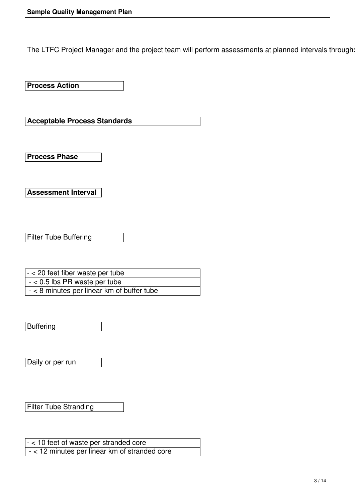The LTFC Project Manager and the project team will perform assessments at planned intervals through

**Process Action** 

**Acceptable Process Standards** 

**Process Phase** 

**Assessment Interval** 

Filter Tube Buffering

- < 20 feet fiber waste per tube - < 0.5 lbs PR waste per tube - < 8 minutes per linear km of buffer tube

**Buffering** 

Daily or per run

Filter Tube Stranding

- < 10 feet of waste per stranded core - < 12 minutes per linear km of stranded core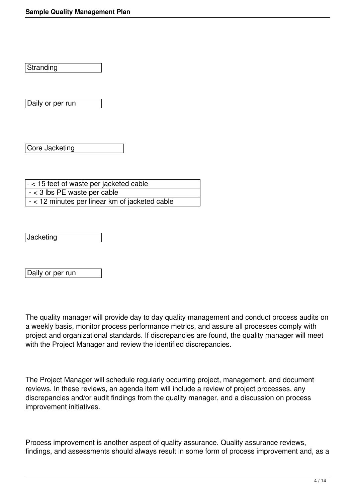Stranding

Daily or per run

Core Jacketing

- < 15 feet of waste per jacketed cable - < 3 lbs PE waste per cable - < 12 minutes per linear km of jacketed cable

**Jacketing** 

Daily or per run

The quality manager will provide day to day quality management and conduct process audits on a weekly basis, monitor process performance metrics, and assure all processes comply with project and organizational standards. If discrepancies are found, the quality manager will meet with the Project Manager and review the identified discrepancies.

The Project Manager will schedule regularly occurring project, management, and document reviews. In these reviews, an agenda item will include a review of project processes, any discrepancies and/or audit findings from the quality manager, and a discussion on process improvement initiatives.

Process improvement is another aspect of quality assurance. Quality assurance reviews, findings, and assessments should always result in some form of process improvement and, as a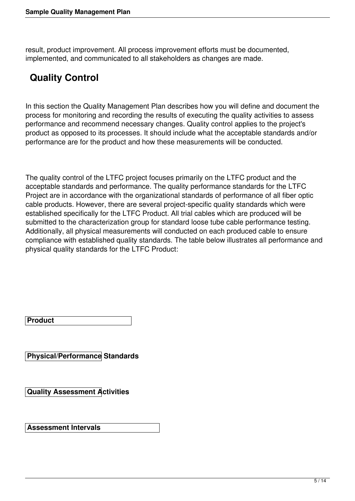result, product improvement. All process improvement efforts must be documented, implemented, and communicated to all stakeholders as changes are made.

# **Quality Control**

In this section the Quality Management Plan describes how you will define and document the process for monitoring and recording the results of executing the quality activities to assess performance and recommend necessary changes. Quality control applies to the project's product as opposed to its processes. It should include what the acceptable standards and/or performance are for the product and how these measurements will be conducted.

The quality control of the LTFC project focuses primarily on the LTFC product and the acceptable standards and performance. The quality performance standards for the LTFC Project are in accordance with the organizational standards of performance of all fiber optic cable products. However, there are several project-specific quality standards which were established specifically for the LTFC Product. All trial cables which are produced will be submitted to the characterization group for standard loose tube cable performance testing. Additionally, all physical measurements will conducted on each produced cable to ensure compliance with established quality standards. The table below illustrates all performance and physical quality standards for the LTFC Product:

**Product** 

**Physical/Performance Standards** 

**Quality Assessment Activities** 

**Assessment Intervals**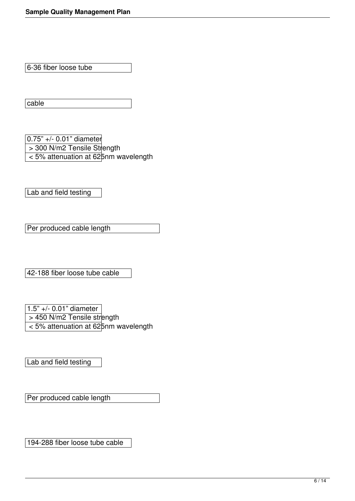6-36 fiber loose tube

cable

0.75" +/- 0.01" diameter > 300 N/m2 Tensile Strength < 5% attenuation at 625nm wavelength

Lab and field testing

Per produced cable length

42-188 fiber loose tube cable

1.5" +/- 0.01" diameter > 450 N/m2 Tensile strength < 5% attenuation at 625nm wavelength

Lab and field testing

Per produced cable length

194-288 fiber loose tube cable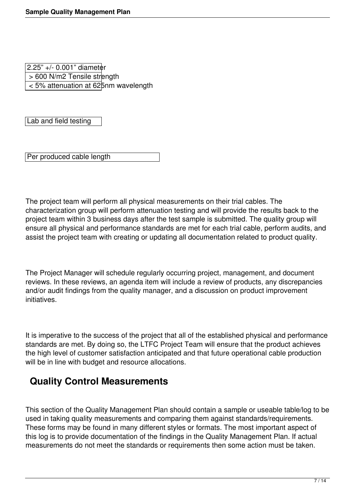2.25" +/- 0.001" diameter > 600 N/m2 Tensile strength < 5% attenuation at 625nm wavelength

Lab and field testing

Per produced cable length

The project team will perform all physical measurements on their trial cables. The characterization group will perform attenuation testing and will provide the results back to the project team within 3 business days after the test sample is submitted. The quality group will ensure all physical and performance standards are met for each trial cable, perform audits, and assist the project team with creating or updating all documentation related to product quality.

The Project Manager will schedule regularly occurring project, management, and document reviews. In these reviews, an agenda item will include a review of products, any discrepancies and/or audit findings from the quality manager, and a discussion on product improvement initiatives.

It is imperative to the success of the project that all of the established physical and performance standards are met. By doing so, the LTFC Project Team will ensure that the product achieves the high level of customer satisfaction anticipated and that future operational cable production will be in line with budget and resource allocations.

## **Quality Control Measurements**

This section of the Quality Management Plan should contain a sample or useable table/log to be used in taking quality measurements and comparing them against standards/requirements. These forms may be found in many different styles or formats. The most important aspect of this log is to provide documentation of the findings in the Quality Management Plan. If actual measurements do not meet the standards or requirements then some action must be taken.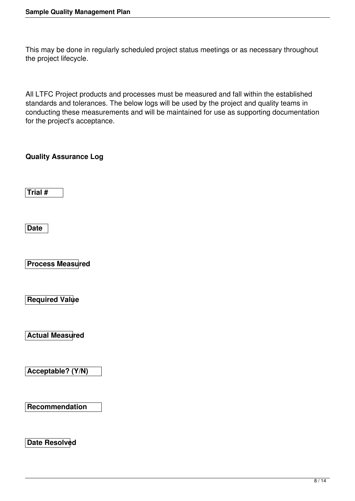This may be done in regularly scheduled project status meetings or as necessary throughout the project lifecycle.

All LTFC Project products and processes must be measured and fall within the established standards and tolerances. The below logs will be used by the project and quality teams in conducting these measurements and will be maintained for use as supporting documentation for the project's acceptance.

**Quality Assurance Log** 

**Trial #** 

**Date** 

**Process Measured** 

**Required Value** 

**Actual Measured** 

**Acceptable? (Y/N)** 

**Recommendation** 

**Date Resolved**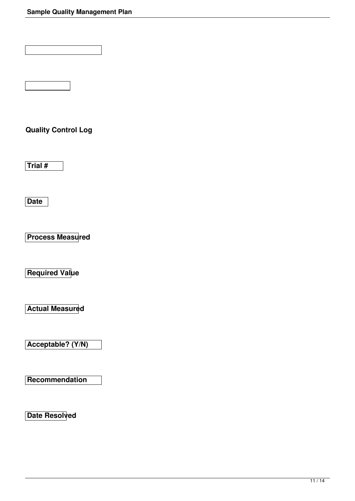**Quality Control Log** 

**Trial #** 

**Date** 

**Process Measured** 

**Required Value** 

**Actual Measured** 

**Acceptable? (Y/N)** 

**Recommendation** 

**Date Resolved**